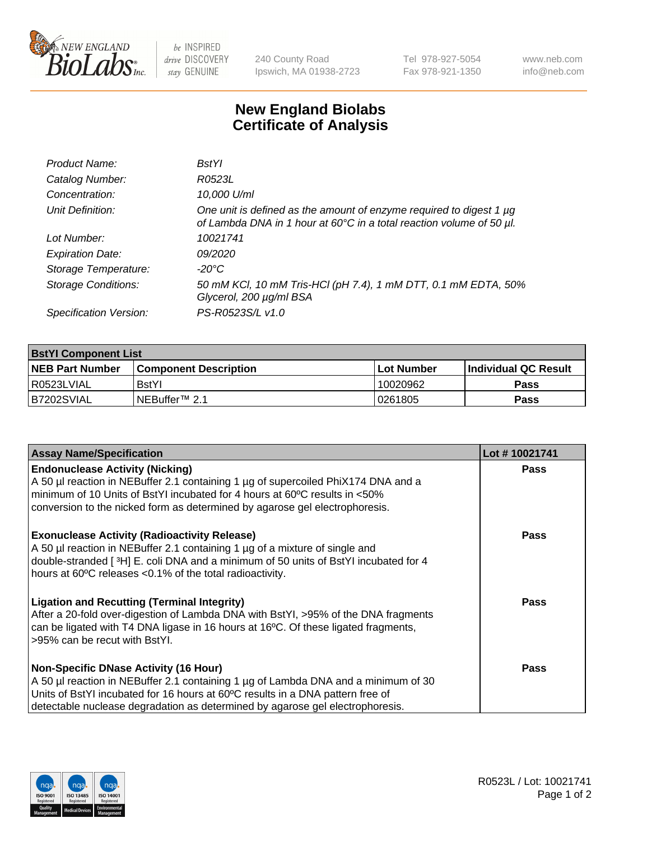

 $be$  INSPIRED drive DISCOVERY stay GENUINE

240 County Road Ipswich, MA 01938-2723 Tel 978-927-5054 Fax 978-921-1350 www.neb.com info@neb.com

## **New England Biolabs Certificate of Analysis**

| Product Name:              | <b>BstYl</b>                                                                                                                                |
|----------------------------|---------------------------------------------------------------------------------------------------------------------------------------------|
| Catalog Number:            | R0523L                                                                                                                                      |
| Concentration:             | 10,000 U/ml                                                                                                                                 |
| Unit Definition:           | One unit is defined as the amount of enzyme required to digest 1 µg<br>of Lambda DNA in 1 hour at 60°C in a total reaction volume of 50 µl. |
| Lot Number:                | 10021741                                                                                                                                    |
| <b>Expiration Date:</b>    | 09/2020                                                                                                                                     |
| Storage Temperature:       | -20°C                                                                                                                                       |
| <b>Storage Conditions:</b> | 50 mM KCl, 10 mM Tris-HCl (pH 7.4), 1 mM DTT, 0.1 mM EDTA, 50%<br>Glycerol, 200 µg/ml BSA                                                   |
| Specification Version:     | PS-R0523S/L v1.0                                                                                                                            |

| <b>BstYI Component List</b> |                              |              |                             |  |  |
|-----------------------------|------------------------------|--------------|-----------------------------|--|--|
| <b>NEB Part Number</b>      | <b>Component Description</b> | l Lot Number | <b>Individual QC Result</b> |  |  |
| R0523LVIAL                  | <b>BstYI</b>                 | 10020962     | Pass                        |  |  |
| B7202SVIAL                  | INEBuffer™ 2.1               | 10261805     | Pass                        |  |  |

| <b>Assay Name/Specification</b>                                                                                                                                                                                                                                                                       | Lot #10021741 |
|-------------------------------------------------------------------------------------------------------------------------------------------------------------------------------------------------------------------------------------------------------------------------------------------------------|---------------|
| <b>Endonuclease Activity (Nicking)</b><br>A 50 µl reaction in NEBuffer 2.1 containing 1 µg of supercoiled PhiX174 DNA and a<br>minimum of 10 Units of BstYI incubated for 4 hours at 60°C results in <50%<br>conversion to the nicked form as determined by agarose gel electrophoresis.              | <b>Pass</b>   |
| <b>Exonuclease Activity (Radioactivity Release)</b><br>A 50 µl reaction in NEBuffer 2.1 containing 1 µg of a mixture of single and<br>double-stranded [3H] E. coli DNA and a minimum of 50 units of BstYl incubated for 4<br>hours at 60°C releases <0.1% of the total radioactivity.                 | <b>Pass</b>   |
| <b>Ligation and Recutting (Terminal Integrity)</b><br>After a 20-fold over-digestion of Lambda DNA with BstYI, >95% of the DNA fragments<br>can be ligated with T4 DNA ligase in 16 hours at 16°C. Of these ligated fragments,<br>>95% can be recut with BstYI.                                       | Pass          |
| <b>Non-Specific DNase Activity (16 Hour)</b><br>A 50 µl reaction in NEBuffer 2.1 containing 1 µg of Lambda DNA and a minimum of 30<br>Units of BstYI incubated for 16 hours at 60°C results in a DNA pattern free of<br>detectable nuclease degradation as determined by agarose gel electrophoresis. | Pass          |